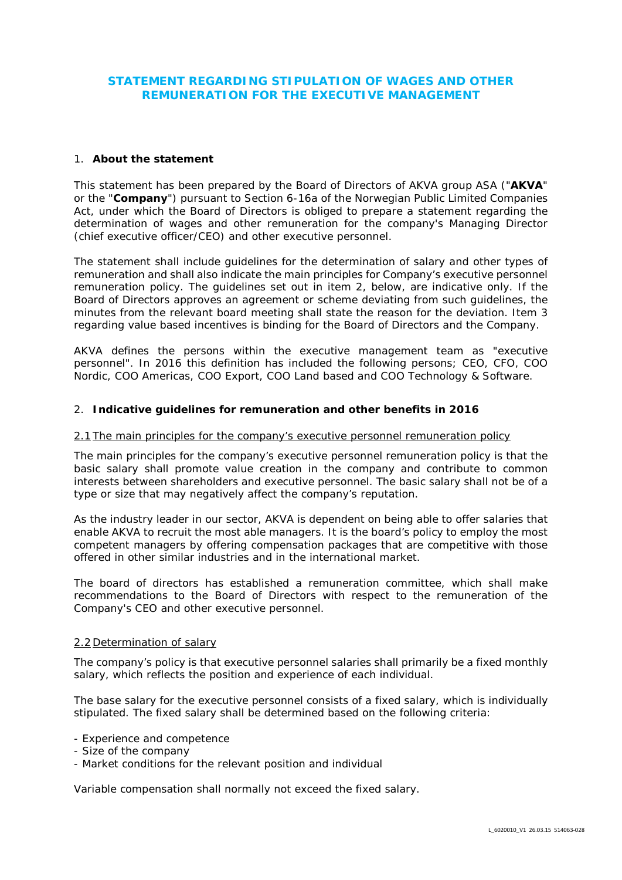# **STATEMENT REGARDING STIPULATION OF WAGES AND OTHER REMUNERATION FOR THE EXECUTIVE MANAGEMENT**

# 1. **About the statement**

This statement has been prepared by the Board of Directors of AKVA group ASA ("**AKVA**" or the "**Company**") pursuant to Section 6-16a of the Norwegian Public Limited Companies Act, under which the Board of Directors is obliged to prepare a statement regarding the determination of wages and other remuneration for the company's Managing Director (chief executive officer/CEO) and other executive personnel.

The statement shall include guidelines for the determination of salary and other types of remuneration and shall also indicate the main principles for Company's executive personnel remuneration policy. The guidelines set out in item 2, below, are indicative only. If the Board of Directors approves an agreement or scheme deviating from such guidelines, the minutes from the relevant board meeting shall state the reason for the deviation. Item 3 regarding value based incentives is binding for the Board of Directors and the Company.

AKVA defines the persons within the executive management team as "executive personnel". In 2016 this definition has included the following persons; CEO, CFO, COO Nordic, COO Americas, COO Export, COO Land based and COO Technology & Software.

### 2. **Indicative guidelines for remuneration and other benefits in 2016**

#### *2.1 The main principles for the company's executive personnel remuneration policy*

The main principles for the company's executive personnel remuneration policy is that the basic salary shall promote value creation in the company and contribute to common interests between shareholders and executive personnel. The basic salary shall not be of a type or size that may negatively affect the company's reputation.

As the industry leader in our sector, AKVA is dependent on being able to offer salaries that enable AKVA to recruit the most able managers. It is the board's policy to employ the most competent managers by offering compensation packages that are competitive with those offered in other similar industries and in the international market.

The board of directors has established a remuneration committee, which shall make recommendations to the Board of Directors with respect to the remuneration of the Company's CEO and other executive personnel.

#### *2.2 Determination of salary*

The company's policy is that executive personnel salaries shall primarily be a fixed monthly salary, which reflects the position and experience of each individual.

The base salary for the executive personnel consists of a fixed salary, which is individually stipulated. The fixed salary shall be determined based on the following criteria:

- Experience and competence
- Size of the company
- Market conditions for the relevant position and individual

Variable compensation shall normally not exceed the fixed salary.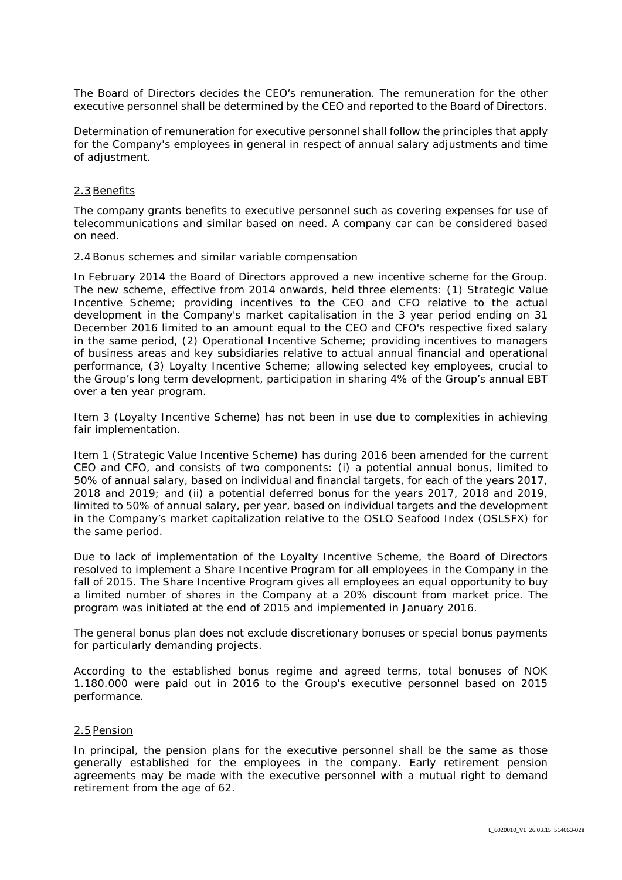The Board of Directors decides the CEO's remuneration. The remuneration for the other executive personnel shall be determined by the CEO and reported to the Board of Directors.

Determination of remuneration for executive personnel shall follow the principles that apply for the Company's employees in general in respect of annual salary adjustments and time of adjustment.

### *2.3 Benefits*

The company grants benefits to executive personnel such as covering expenses for use of telecommunications and similar based on need. A company car can be considered based on need.

#### *2.4 Bonus schemes and similar variable compensation*

In February 2014 the Board of Directors approved a new incentive scheme for the Group. The new scheme, effective from 2014 onwards, held three elements: (1) Strategic Value Incentive Scheme; providing incentives to the CEO and CFO relative to the actual development in the Company's market capitalisation in the 3 year period ending on 31 December 2016 limited to an amount equal to the CEO and CFO's respective fixed salary in the same period, (2) Operational Incentive Scheme; providing incentives to managers of business areas and key subsidiaries relative to actual annual financial and operational performance, (3) Loyalty Incentive Scheme; allowing selected key employees, crucial to the Group's long term development, participation in sharing 4% of the Group's annual EBT over a ten year program.

Item 3 (Loyalty Incentive Scheme) has not been in use due to complexities in achieving fair implementation.

Item 1 (Strategic Value Incentive Scheme) has during 2016 been amended for the current CEO and CFO, and consists of two components: (i) a potential annual bonus, limited to 50% of annual salary, based on individual and financial targets, for each of the years 2017, 2018 and 2019; and (ii) a potential deferred bonus for the years 2017, 2018 and 2019, limited to 50% of annual salary, per year, based on individual targets and the development in the Company's market capitalization relative to the OSLO Seafood Index (OSLSFX) for the same period.

Due to lack of implementation of the Loyalty Incentive Scheme, the Board of Directors resolved to implement a Share Incentive Program for all employees in the Company in the fall of 2015. The Share Incentive Program gives all employees an equal opportunity to buy a limited number of shares in the Company at a 20% discount from market price. The program was initiated at the end of 2015 and implemented in January 2016.

The general bonus plan does not exclude discretionary bonuses or special bonus payments for particularly demanding projects.

According to the established bonus regime and agreed terms, total bonuses of NOK 1.180.000 were paid out in 2016 to the Group's executive personnel based on 2015 performance.

#### *2.5 Pension*

In principal, the pension plans for the executive personnel shall be the same as those generally established for the employees in the company. Early retirement pension agreements may be made with the executive personnel with a mutual right to demand retirement from the age of 62.